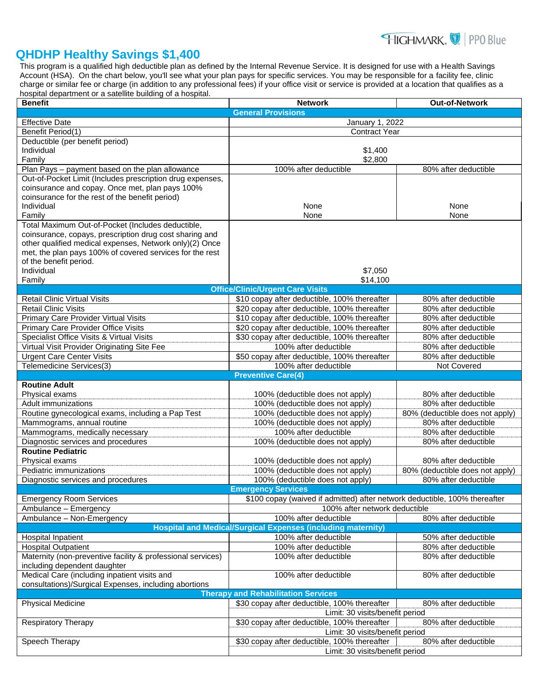

## **QHDHP Healthy Savings \$1,400**

This program is a qualified high deductible plan as defined by the Internal Revenue Service. It is designed for use with a Health Savings Account (HSA). On the chart below, you'll see what your plan pays for specific services. You may be responsible for a facility fee, clinic charge or similar fee or charge (in addition to any professional fees) if your office visit or service is provided at a location that qualifies as a hospital department or a satellite building of a hospital.

| <b>Benefit</b>                                              | <b>Network</b>                                                             | Out-of-Network                  |  |
|-------------------------------------------------------------|----------------------------------------------------------------------------|---------------------------------|--|
|                                                             | <b>General Provisions</b>                                                  |                                 |  |
| <b>Effective Date</b>                                       | January 1, 2022                                                            |                                 |  |
| Benefit Period(1)                                           | <b>Contract Year</b>                                                       |                                 |  |
| Deductible (per benefit period)                             |                                                                            |                                 |  |
| Individual                                                  | \$1,400                                                                    |                                 |  |
| Family                                                      | \$2,800                                                                    |                                 |  |
| Plan Pays - payment based on the plan allowance             | 100% after deductible                                                      | 80% after deductible            |  |
| Out-of-Pocket Limit (Includes prescription drug expenses,   |                                                                            |                                 |  |
| coinsurance and copay. Once met, plan pays 100%             |                                                                            |                                 |  |
| coinsurance for the rest of the benefit period)             |                                                                            |                                 |  |
| Individual                                                  | None                                                                       | None                            |  |
| Family                                                      | None                                                                       | None                            |  |
| Total Maximum Out-of-Pocket (Includes deductible,           |                                                                            |                                 |  |
| coinsurance, copays, prescription drug cost sharing and     |                                                                            |                                 |  |
| other qualified medical expenses, Network only)(2) Once     |                                                                            |                                 |  |
| met, the plan pays 100% of covered services for the rest    |                                                                            |                                 |  |
| of the benefit period.                                      |                                                                            |                                 |  |
| Individual                                                  | \$7,050                                                                    |                                 |  |
| Family                                                      | \$14,100                                                                   |                                 |  |
|                                                             | <b>Office/Clinic/Urgent Care Visits</b>                                    |                                 |  |
| <b>Retail Clinic Virtual Visits</b>                         | \$10 copay after deductible, 100% thereafter                               | 80% after deductible            |  |
| <b>Retail Clinic Visits</b>                                 | \$20 copay after deductible, 100% thereafter                               | 80% after deductible            |  |
| Primary Care Provider Virtual Visits                        | \$10 copay after deductible, 100% thereafter                               | 80% after deductible            |  |
| Primary Care Provider Office Visits                         | \$20 copay after deductible, 100% thereafter                               | 80% after deductible            |  |
| Specialist Office Visits & Virtual Visits                   | \$30 copay after deductible, 100% thereafter                               | 80% after deductible            |  |
| Virtual Visit Provider Originating Site Fee                 | 100% after deductible                                                      | 80% after deductible            |  |
| <b>Urgent Care Center Visits</b>                            | \$50 copay after deductible, 100% thereafter                               | 80% after deductible            |  |
| Telemedicine Services(3)                                    | 100% after deductible                                                      | Not Covered                     |  |
|                                                             | <b>Preventive Care(4)</b>                                                  |                                 |  |
| <b>Routine Adult</b>                                        |                                                                            |                                 |  |
| Physical exams                                              | 100% (deductible does not apply)                                           | 80% after deductible            |  |
| Adult immunizations                                         | 100% (deductible does not apply)                                           | 80% after deductible            |  |
| Routine gynecological exams, including a Pap Test           | 100% (deductible does not apply)                                           | 80% (deductible does not apply) |  |
| Mammograms, annual routine                                  | 100% (deductible does not apply)                                           | 80% after deductible            |  |
| Mammograms, medically necessary                             | 100% after deductible                                                      | 80% after deductible            |  |
| Diagnostic services and procedures                          | 100% (deductible does not apply)                                           | 80% after deductible            |  |
| <b>Routine Pediatric</b>                                    |                                                                            |                                 |  |
| Physical exams                                              | 100% (deductible does not apply)                                           | 80% after deductible            |  |
| Pediatric immunizations                                     | 100% (deductible does not apply)                                           | 80% (deductible does not apply) |  |
| Diagnostic services and procedures                          | 100% (deductible does not apply)                                           | 80% after deductible            |  |
|                                                             | <b>Emergency Services</b>                                                  |                                 |  |
| <b>Emergency Room Services</b>                              | \$100 copay (waived if admitted) after network deductible, 100% thereafter |                                 |  |
| Ambulance - Emergency                                       | 100% after network deductible                                              |                                 |  |
| Ambulance - Non-Emergency                                   | 100% after deductible                                                      | 80% after deductible            |  |
|                                                             | <b>Hospital and Medical/Surgical Expenses (including maternity)</b>        |                                 |  |
| Hospital Inpatient                                          | 100% after deductible                                                      | 50% after deductible            |  |
| <b>Hospital Outpatient</b>                                  | 100% after deductible                                                      | 80% after deductible            |  |
| Maternity (non-preventive facility & professional services) | 100% after deductible                                                      | 80% after deductible            |  |
| including dependent daughter                                |                                                                            |                                 |  |
| Medical Care (including inpatient visits and                | 100% after deductible                                                      | 80% after deductible            |  |
| consultations)/Surgical Expenses, including abortions       |                                                                            |                                 |  |
| <b>Therapy and Rehabilitation Services</b>                  |                                                                            |                                 |  |
| <b>Physical Medicine</b>                                    | \$30 copay after deductible, 100% thereafter                               | 80% after deductible            |  |
|                                                             | Limit: 30 visits/benefit period                                            |                                 |  |
| <b>Respiratory Therapy</b>                                  | \$30 copay after deductible, 100% thereafter                               | 80% after deductible            |  |
|                                                             | Limit: 30 visits/benefit period                                            |                                 |  |
| Speech Therapy                                              | \$30 copay after deductible, 100% thereafter                               | 80% after deductible            |  |
|                                                             | Limit: 30 visits/benefit period                                            |                                 |  |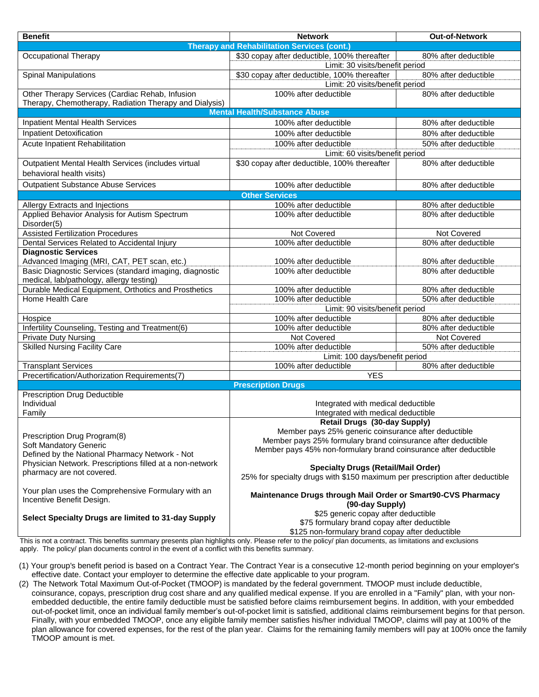| <b>Benefit</b>                                               | <b>Network</b>                                                               | Out-of-Network       |  |
|--------------------------------------------------------------|------------------------------------------------------------------------------|----------------------|--|
| <b>Therapy and Rehabilitation Services (cont.)</b>           |                                                                              |                      |  |
| <b>Occupational Therapy</b>                                  | \$30 copay after deductible, 100% thereafter                                 | 80% after deductible |  |
|                                                              | Limit: 30 visits/benefit period                                              |                      |  |
| <b>Spinal Manipulations</b>                                  | \$30 copay after deductible, 100% thereafter<br>80% after deductible         |                      |  |
|                                                              | Limit: 20 visits/benefit period                                              |                      |  |
| Other Therapy Services (Cardiac Rehab, Infusion              | 100% after deductible                                                        | 80% after deductible |  |
| Therapy, Chemotherapy, Radiation Therapy and Dialysis)       |                                                                              |                      |  |
| <b>Mental Health/Substance Abuse</b>                         |                                                                              |                      |  |
| Inpatient Mental Health Services                             | 100% after deductible                                                        | 80% after deductible |  |
| <b>Inpatient Detoxification</b>                              | 100% after deductible                                                        | 80% after deductible |  |
| Acute Inpatient Rehabilitation                               | 100% after deductible                                                        | 50% after deductible |  |
|                                                              | Limit: 60 visits/benefit period                                              |                      |  |
| Outpatient Mental Health Services (includes virtual          | \$30 copay after deductible, 100% thereafter                                 | 80% after deductible |  |
| behavioral health visits)                                    |                                                                              |                      |  |
| <b>Outpatient Substance Abuse Services</b>                   |                                                                              |                      |  |
|                                                              | 100% after deductible                                                        | 80% after deductible |  |
|                                                              | <b>Other Services</b>                                                        |                      |  |
| Allergy Extracts and Injections                              | 100% after deductible                                                        | 80% after deductible |  |
| Applied Behavior Analysis for Autism Spectrum<br>Disorder(5) | 100% after deductible                                                        | 80% after deductible |  |
| <b>Assisted Fertilization Procedures</b>                     | Not Covered                                                                  | Not Covered          |  |
| Dental Services Related to Accidental Injury                 | 100% after deductible                                                        | 80% after deductible |  |
| <b>Diagnostic Services</b>                                   |                                                                              |                      |  |
| Advanced Imaging (MRI, CAT, PET scan, etc.)                  | 100% after deductible                                                        | 80% after deductible |  |
| Basic Diagnostic Services (standard imaging, diagnostic      | 100% after deductible                                                        | 80% after deductible |  |
| medical, lab/pathology, allergy testing)                     |                                                                              |                      |  |
| Durable Medical Equipment, Orthotics and Prosthetics         | 100% after deductible                                                        | 80% after deductible |  |
| Home Health Care                                             | 100% after deductible                                                        | 50% after deductible |  |
|                                                              | Limit: 90 visits/benefit period                                              |                      |  |
| Hospice                                                      | 100% after deductible                                                        | 80% after deductible |  |
| Infertility Counseling, Testing and Treatment(6)             | 100% after deductible                                                        | 80% after deductible |  |
| <b>Private Duty Nursing</b>                                  | Not Covered                                                                  | Not Covered          |  |
| <b>Skilled Nursing Facility Care</b>                         | 100% after deductible<br>50% after deductible                                |                      |  |
|                                                              | Limit: 100 days/benefit period                                               |                      |  |
| <b>Transplant Services</b>                                   | 100% after deductible                                                        | 80% after deductible |  |
| Precertification/Authorization Requirements(7)               | <b>YES</b>                                                                   |                      |  |
|                                                              | <b>Prescription Drugs</b>                                                    |                      |  |
| Prescription Drug Deductible                                 |                                                                              |                      |  |
| Individual                                                   | Integrated with medical deductible                                           |                      |  |
| Family                                                       | Integrated with medical deductible                                           |                      |  |
|                                                              | Retail Drugs (30-day Supply)                                                 |                      |  |
| Prescription Drug Program(8)                                 | Member pays 25% generic coinsurance after deductible                         |                      |  |
| Soft Mandatory Generic                                       | Member pays 25% formulary brand coinsurance after deductible                 |                      |  |
| Defined by the National Pharmacy Network - Not               | Member pays 45% non-formulary brand coinsurance after deductible             |                      |  |
| Physician Network. Prescriptions filled at a non-network     |                                                                              |                      |  |
| pharmacy are not covered.                                    | <b>Specialty Drugs (Retail/Mail Order)</b>                                   |                      |  |
|                                                              | 25% for specialty drugs with \$150 maximum per prescription after deductible |                      |  |
| Your plan uses the Comprehensive Formulary with an           | Maintenance Drugs through Mail Order or Smart90-CVS Pharmacy                 |                      |  |
| Incentive Benefit Design.                                    | (90-day Supply)                                                              |                      |  |
| \$25 generic copay after deductible                          |                                                                              |                      |  |
| Select Specialty Drugs are limited to 31-day Supply          | \$75 formulary brand copay after deductible                                  |                      |  |
|                                                              | \$125 non-formulary brand copay after deductible                             |                      |  |
|                                                              |                                                                              |                      |  |

This is not a contract. This benefits summary presents plan highlights only. Please refer to the policy/ plan documents, as limitations and exclusions apply. The policy/ plan documents control in the event of a conflict with this benefits summary.

(1) Your group's benefit period is based on a Contract Year. The Contract Year is a consecutive 12-month period beginning on your employer's effective date. Contact your employer to determine the effective date applicable to your program.

(2) The Network Total Maximum Out-of-Pocket (TMOOP) is mandated by the federal government. TMOOP must include deductible, coinsurance, copays, prescription drug cost share and any qualified medical expense. If you are enrolled in a "Family" plan, with your nonembedded deductible, the entire family deductible must be satisfied before claims reimbursement begins. In addition, with your embedded out-of-pocket limit, once an individual family member's out-of-pocket limit is satisfied, additional claims reimbursement begins for that person. Finally, with your embedded TMOOP, once any eligible family member satisfies his/her individual TMOOP, claims will pay at 100% of the plan allowance for covered expenses, for the rest of the plan year. Claims for the remaining family members will pay at 100% once the family TMOOP amount is met.